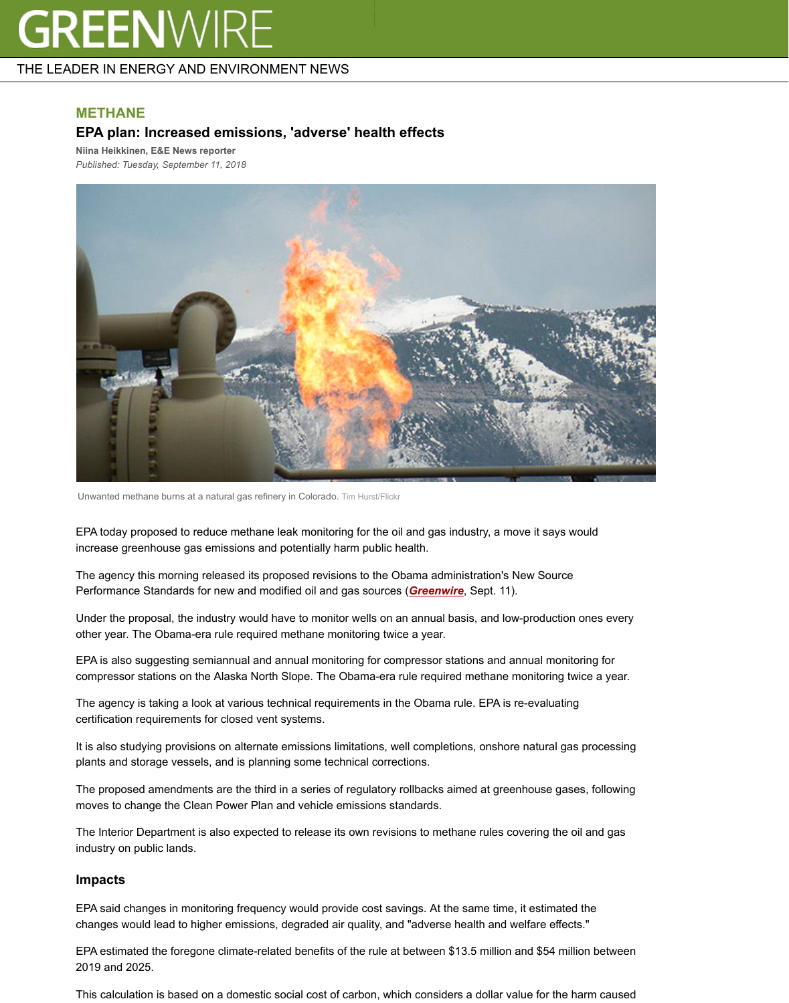

Unwanted methane burns at a natural gas refinery in Colorado. Tim Hurst/Flickr

EPA today proposed to reduce methane leak monitoring for the oil and gas industry, a move it says would increase greenhouse gas emissions and potentially harm public health.

The agency this morning released its proposed revisions to the Obama administration's New Source Performance Standards for new and modified oil and gas sources (*Greenwire*, Sept. 11).

Under the proposal, the industry would have to monitor wells on an annual basis, and low-productior other year. The Obama-era rule required methane monitoring twice a year.

EPA is also suggesting semiannual and annual monitoring for compressor stations and annual monitoring for the compressor stations on the Alaska North Slope. The Obama-era rule required methane monitoring twice a year.

The agency is taking a look at various technical requirements in the Obama rule. EPA is re-evaluating certification requirements for closed vent systems.

It is also studying provisions on alternate emissions limitations, well completions, onshore natural ga plants and storage vessels, and is planning some technical corrections.

The proposed amendments are the third in a series of regulatory rollbacks aimed at greenhouse gas moves to change the Clean Power Plan and vehicle emissions standards.

The Interior Department is also expected to release its own revisions to methane rules covering the industry on public lands.

## **Impacts**

EPA said changes in monitoring frequency would provide cost savings. At the same time, it estimate changes would lead to higher emissions, degraded air quality, and "adverse health and welfare effect

EPA estimated the foregone climate-related benefits of the rule at between \$13.5 million and \$54 mil 2019 and 2025.

This calculation is based on a domestic social cost of carbon, which considers a dollar value for the  $\vdash$